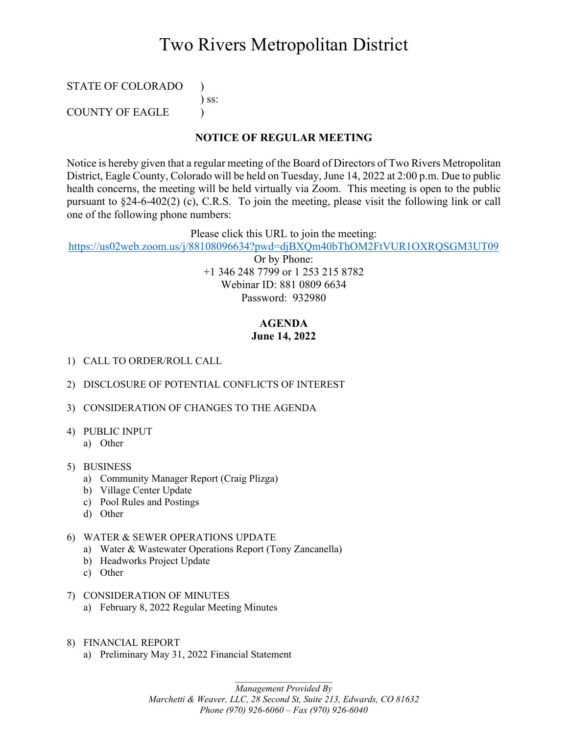# Two Rivers Metropolitan District

### STATE OF COLORADO ) ) ss: COUNTY OF EAGLE )

#### **NOTICE OF REGULAR MEETING**

Notice is hereby given that a regular meeting of the Board of Directors of Two Rivers Metropolitan District, Eagle County, Colorado will be held on Tuesday, June 14, 2022 at 2:00 p.m. Due to public health concerns, the meeting will be held virtually via Zoom. This meeting is open to the public pursuant to §24-6-402(2) (c), C.R.S. To join the meeting, please visit the following link or call one of the following phone numbers:

Please click this URL to join the meeting:

<https://us02web.zoom.us/j/88108096634?pwd=djBXQm40bThOM2FtVUR1OXRQSGM3UT09>

Or by Phone: +1 346 248 7799 or 1 253 215 8782 Webinar ID: 881 0809 6634 Password: 932980

### **AGENDA June 14, 2022**

- 1) CALL TO ORDER/ROLL CALL
- 2) DISCLOSURE OF POTENTIAL CONFLICTS OF INTEREST
- 3) CONSIDERATION OF CHANGES TO THE AGENDA
- 4) PUBLIC INPUT
	- a) Other
- 5) BUSINESS
	- a) Community Manager Report (Craig Plizga)
	- b) Village Center Update
	- c) Pool Rules and Postings
	- d) Other
- 6) WATER & SEWER OPERATIONS UPDATE
	- a) Water & Wastewater Operations Report (Tony Zancanella)
	- b) Headworks Project Update
	- c) Other
- 7) CONSIDERATION OF MINUTES
	- a) February 8, 2022 Regular Meeting Minutes
- 8) FINANCIAL REPORT
	- a) Preliminary May 31, 2022 Financial Statement

*Management Provided By Marchetti & Weaver, LLC, 28 Second St, Suite 213, Edwards, CO 81632 Phone (970) 926-6060 – Fax (970) 926-6040*

*\_\_\_\_\_\_\_\_\_\_\_\_\_\_\_\_\_\_\_\_\_*